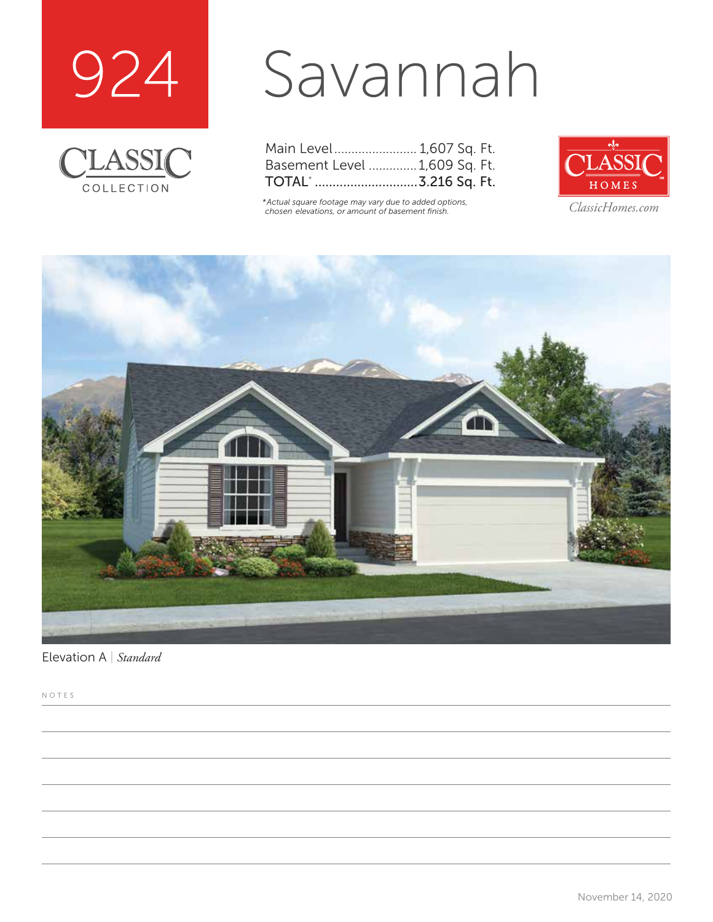



# Savannah

| Main Level 1,607 Sq. Ft.      |  |  |
|-------------------------------|--|--|
| Basement Level  1,609 Sq. Ft. |  |  |
|                               |  |  |

*\*Actual square footage may vary due to added options, chosen elevations, or amount of basement finish. ClassicHomes.com*





Elevation A | *Standard*

NOTES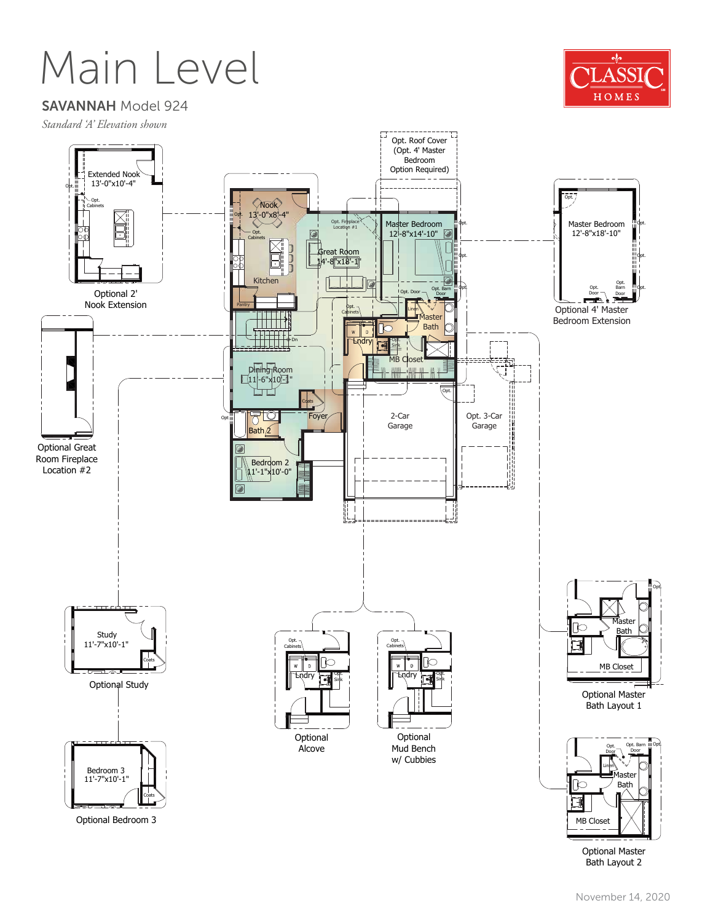### Main Level



SAVANNAH Model 924





Optional Master Bath Layout 2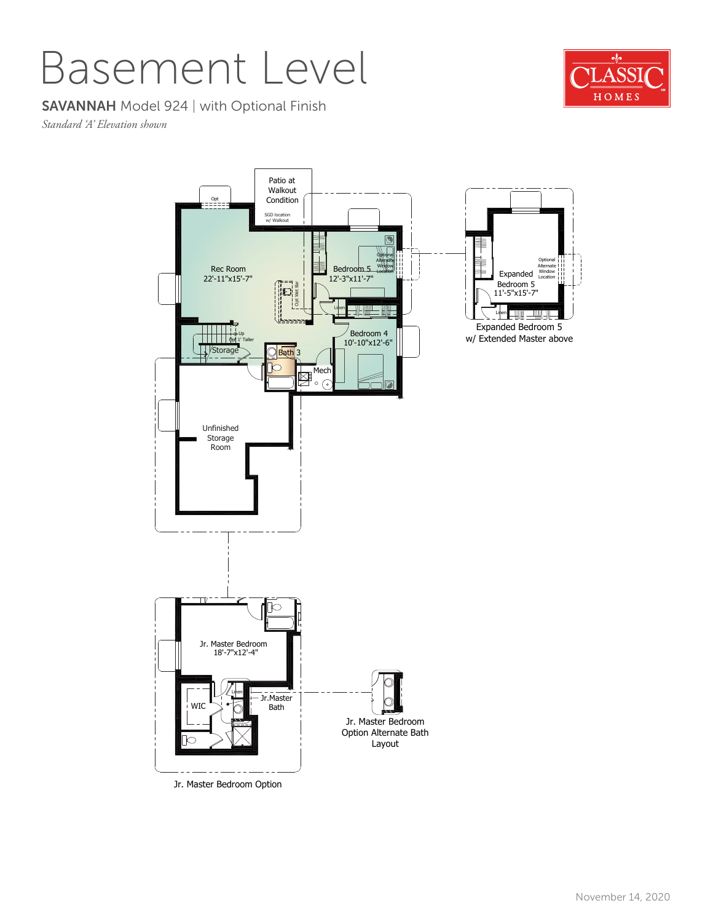#### Basement Level

#### SAVANNAH Model 924 | with Optional Finish

*Standard 'A' Elevation shown*